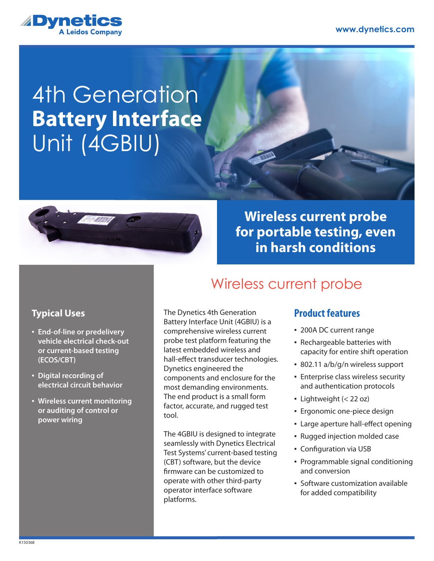

# 4th Generation Unit (4GBIU) **Battery Interface**



## **Wireless current probe for portable testing, even in harsh conditions**

Wireless current probe

#### **Typical Uses**

- **End-of-line or predelivery vehicle electrical check-out or current-based testing (ECOS/CBT)**
- **Digital recording of electrical circuit behavior**
- **Wireless current monitoring or auditing of control or power wiring**

The Dynetics 4th Generation Battery Interface Unit (4GBIU) is a comprehensive wireless current probe test platform featuring the latest embedded wireless and hall-effect transducer technologies. Dynetics engineered the components and enclosure for the most demanding environments. The end product is a small form factor, accurate, and rugged test tool.

The 4GBIU is designed to integrate seamlessly with Dynetics Electrical Test Systems' current-based testing (CBT) software, but the device firmware can be customized to operate with other third-party operator interface software platforms.

### **Product features**

- 200A DC current range
- Rechargeable batteries with capacity for entire shift operation
- 802.11 a/b/g/n wireless support
- **Enterprise class wireless security** and authentication protocols
- $\blacksquare$  Lightweight (< 22 oz)
- Ergonomic one-piece design
- Large aperture hall-effect opening
- Rugged injection molded case
- Configuration via USB
- Programmable signal conditioning and conversion
- Software customization available for added compatibility